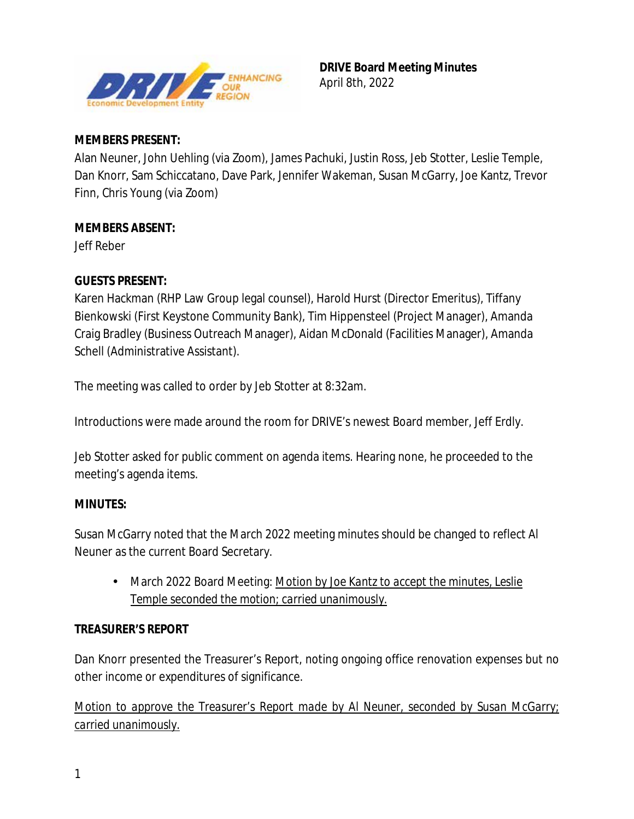

## **MEMBERS PRESENT:**

Alan Neuner, John Uehling (via Zoom), James Pachuki, Justin Ross, Jeb Stotter, Leslie Temple, Dan Knorr, Sam Schiccatano, Dave Park, Jennifer Wakeman, Susan McGarry, Joe Kantz, Trevor Finn, Chris Young (via Zoom)

# **MEMBERS ABSENT:**

Jeff Reber

# **GUESTS PRESENT:**

Karen Hackman (RHP Law Group legal counsel), Harold Hurst (Director Emeritus), Tiffany Bienkowski (First Keystone Community Bank), Tim Hippensteel (Project Manager), Amanda Craig Bradley (Business Outreach Manager), Aidan McDonald (Facilities Manager), Amanda Schell (Administrative Assistant).

The meeting was called to order by Jeb Stotter at 8:32am.

Introductions were made around the room for DRIVE's newest Board member, Jeff Erdly.

Jeb Stotter asked for public comment on agenda items. Hearing none, he proceeded to the meeting's agenda items.

### **MINUTES:**

Susan McGarry noted that the March 2022 meeting minutes should be changed to reflect Al Neuner as the current Board Secretary.

 $\mathbf{r}^{\prime}$ March 2022 Board Meeting: *Motion by Joe Kantz to accept the minutes, Leslie Temple seconded the motion; carried unanimously.* 

# **TREASURER'S REPORT**

Dan Knorr presented the Treasurer's Report, noting ongoing office renovation expenses but no other income or expenditures of significance.

*Motion to approve the Treasurer's Report made by Al Neuner, seconded by Susan McGarry; carried unanimously.*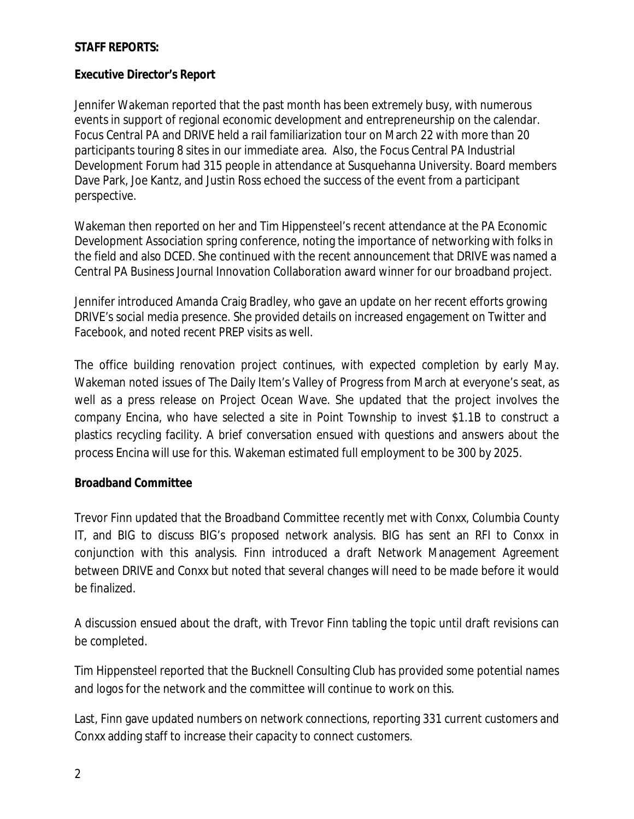### **STAFF REPORTS:**

#### **Executive Director's Report**

Jennifer Wakeman reported that the past month has been extremely busy, with numerous events in support of regional economic development and entrepreneurship on the calendar. Focus Central PA and DRIVE held a rail familiarization tour on March 22 with more than 20 participants touring 8 sites in our immediate area. Also, the Focus Central PA Industrial Development Forum had 315 people in attendance at Susquehanna University. Board members Dave Park, Joe Kantz, and Justin Ross echoed the success of the event from a participant perspective.

Wakeman then reported on her and Tim Hippensteel's recent attendance at the PA Economic Development Association spring conference, noting the importance of networking with folks in the field and also DCED. She continued with the recent announcement that DRIVE was named a Central PA Business Journal Innovation Collaboration award winner for our broadband project.

Jennifer introduced Amanda Craig Bradley, who gave an update on her recent efforts growing DRIVE's social media presence. She provided details on increased engagement on Twitter and Facebook, and noted recent PREP visits as well.

The office building renovation project continues, with expected completion by early May. Wakeman noted issues of The Daily Item's Valley of Progress from March at everyone's seat, as well as a press release on Project Ocean Wave. She updated that the project involves the company Encina, who have selected a site in Point Township to invest \$1.1B to construct a plastics recycling facility. A brief conversation ensued with questions and answers about the process Encina will use for this. Wakeman estimated full employment to be 300 by 2025.

#### **Broadband Committee**

Trevor Finn updated that the Broadband Committee recently met with Conxx, Columbia County IT, and BIG to discuss BIG's proposed network analysis. BIG has sent an RFI to Conxx in conjunction with this analysis. Finn introduced a draft Network Management Agreement between DRIVE and Conxx but noted that several changes will need to be made before it would be finalized.

A discussion ensued about the draft, with Trevor Finn tabling the topic until draft revisions can be completed.

Tim Hippensteel reported that the Bucknell Consulting Club has provided some potential names and logos for the network and the committee will continue to work on this.

Last, Finn gave updated numbers on network connections, reporting 331 current customers and Conxx adding staff to increase their capacity to connect customers.